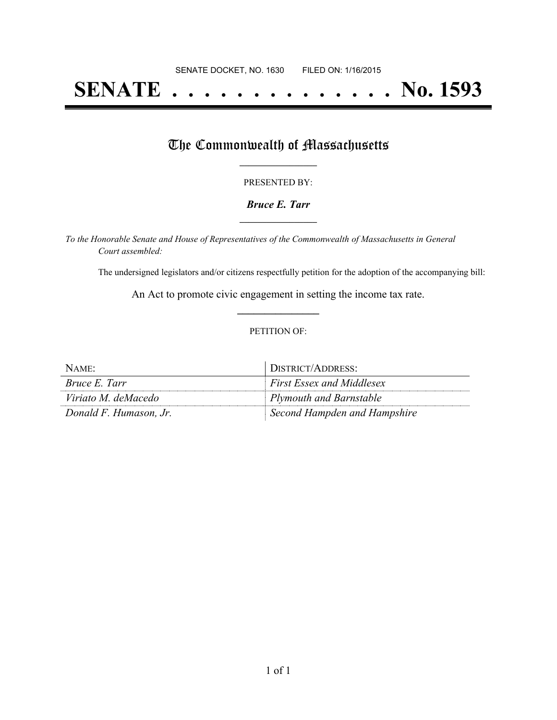# **SENATE . . . . . . . . . . . . . . No. 1593**

## The Commonwealth of Massachusetts

#### PRESENTED BY:

#### *Bruce E. Tarr* **\_\_\_\_\_\_\_\_\_\_\_\_\_\_\_\_\_**

*To the Honorable Senate and House of Representatives of the Commonwealth of Massachusetts in General Court assembled:*

The undersigned legislators and/or citizens respectfully petition for the adoption of the accompanying bill:

An Act to promote civic engagement in setting the income tax rate. **\_\_\_\_\_\_\_\_\_\_\_\_\_\_\_**

#### PETITION OF:

| NAME:                  | DISTRICT/ADDRESS:                |
|------------------------|----------------------------------|
| <i>Bruce E. Tarr</i>   | <b>First Essex and Middlesex</b> |
| Viriato M. deMacedo    | Plymouth and Barnstable          |
| Donald F. Humason, Jr. | Second Hampden and Hampshire     |